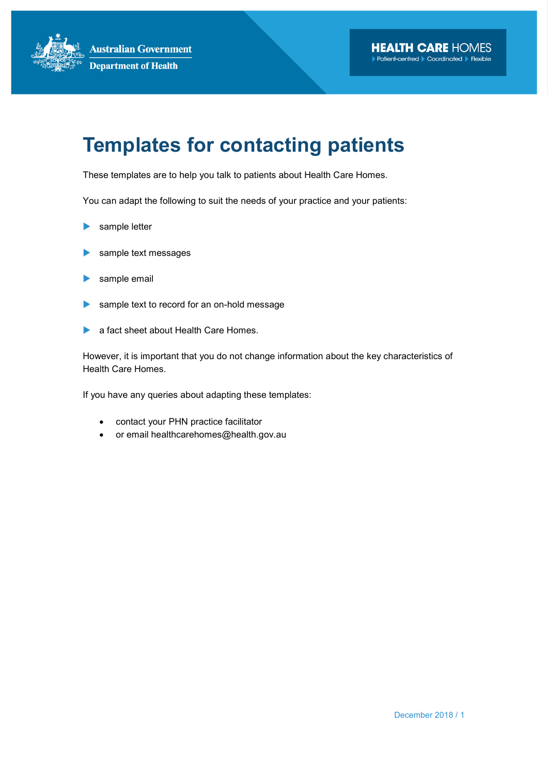# Templates for contacting patients

These templates are to help you talk to patients about Health Care Homes.

You can adapt the following to suit the needs of your practice and your patients:

- sample letter
- sample text messages
- sample email
- sample text to record for an on-hold message
- a fact sheet about Health Care Homes.

However, it is important that you do not change information about the key characteristics of Health Care Homes.

If you have any queries about adapting these templates:

- contact your PHN practice facilitator
- or email healthcarehomes@health.gov.au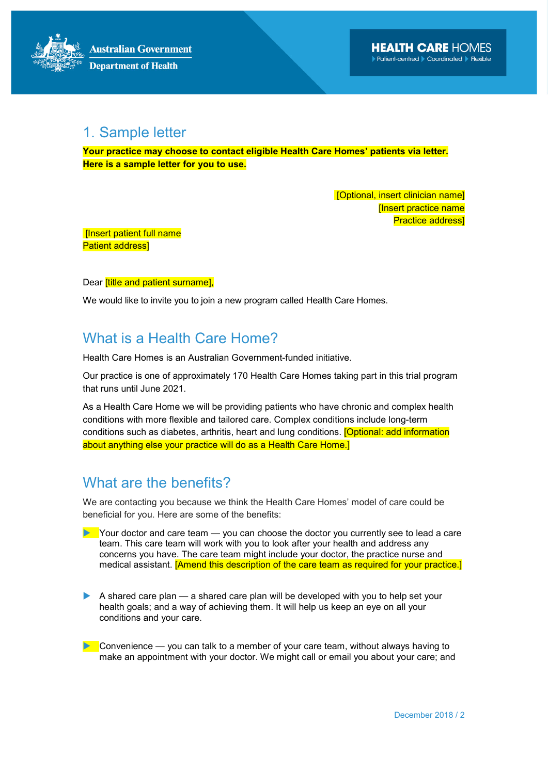### 1. Sample letter

Your practice may choose to contact eligible Health Care Homes' patients via letter. Here is a sample letter for you to use.

> [Optional, insert clinician name] **Ilnsert practice name** Practice address]

 [Insert patient full name Patient address]

Dear *[title and patient surname]*,

We would like to invite you to join a new program called Health Care Homes.

### What is a Health Care Home?

Health Care Homes is an Australian Government-funded initiative.

Our practice is one of approximately 170 Health Care Homes taking part in this trial program that runs until June 2021.

As a Health Care Home we will be providing patients who have chronic and complex health conditions with more flexible and tailored care. Complex conditions include long-term conditions such as diabetes, arthritis, heart and lung conditions. [Optional: add information about anything else your practice will do as a Health Care Home.]

### What are the benefits?

We are contacting you because we think the Health Care Homes' model of care could be beneficial for you. Here are some of the benefits:

- $\blacktriangleright$  Your doctor and care team  $-$  you can choose the doctor you currently see to lead a care team. This care team will work with you to look after your health and address any concerns you have. The care team might include your doctor, the practice nurse and medical assistant. [Amend this description of the care team as required for your practice.]
- A shared care plan a shared care plan will be developed with you to help set your health goals; and a way of achieving them. It will help us keep an eye on all your conditions and your care.
- Convenience you can talk to a member of your care team, without always having to make an appointment with your doctor. We might call or email you about your care; and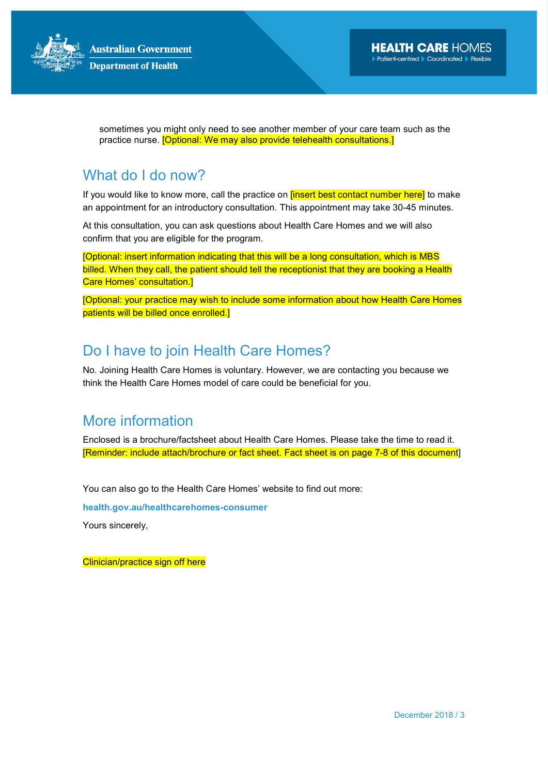

sometimes you might only need to see another member of your care team such as the practice nurse. [Optional: We may also provide telehealth consultations.]

# What do I do now?

If you would like to know more, call the practice on *[insert best contact number here]* to make an appointment for an introductory consultation. This appointment may take 30-45 minutes.

At this consultation, you can ask questions about Health Care Homes and we will also confirm that you are eligible for the program.

[Optional: insert information indicating that this will be a long consultation, which is MBS billed. When they call, the patient should tell the receptionist that they are booking a Health Care Homes' consultation.]

[Optional: your practice may wish to include some information about how Health Care Homes patients will be billed once enrolled.]

# Do I have to join Health Care Homes?

No. Joining Health Care Homes is voluntary. However, we are contacting you because we think the Health Care Homes model of care could be beneficial for you.

# More information

Enclosed is a brochure/factsheet about Health Care Homes. Please take the time to read it. [Reminder: include attach/brochure or fact sheet. Fact sheet is on page 7-8 of this document]

You can also go to the Health Care Homes' website to find out more:

health.gov.au/healthcarehomes-consumer

Yours sincerely,

Clinician/practice sign off here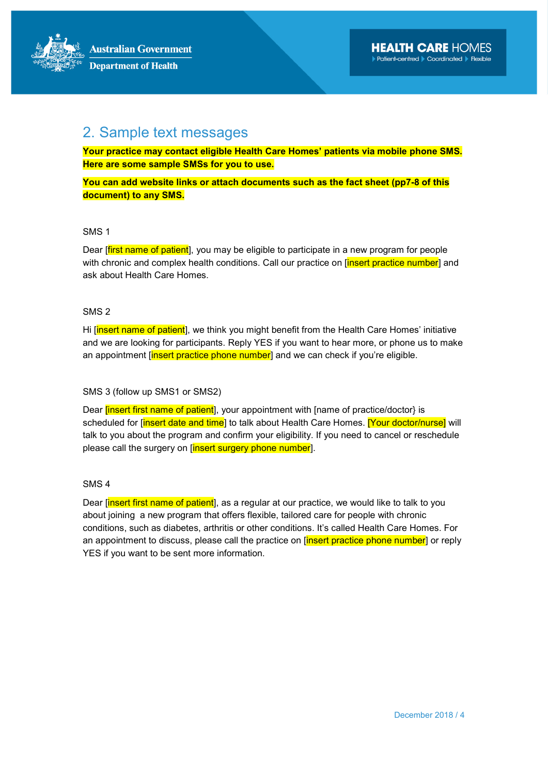# 2. Sample text messages

Your practice may contact eligible Health Care Homes' patients via mobile phone SMS. Here are some sample SMSs for you to use.

You can add website links or attach documents such as the fact sheet (pp7-8 of this document) to any SMS.

#### SMS 1

Dear *[first name of patient]*, you may be eligible to participate in a new program for people with chronic and complex health conditions. Call our practice on *[insert practice number]* and ask about Health Care Homes.

#### SMS 2

Hi [insert name of patient], we think you might benefit from the Health Care Homes' initiative and we are looking for participants. Reply YES if you want to hear more, or phone us to make an appointment *[insert practice phone number]* and we can check if you're eligible.

#### SMS 3 (follow up SMS1 or SMS2)

Dear linsert first name of patient], your appointment with [name of practice/doctor} is scheduled for [insert date and time] to talk about Health Care Homes. [Your doctor/nurse] will talk to you about the program and confirm your eligibility. If you need to cancel or reschedule please call the surgery on [insert surgery phone number].

#### SMS 4

Dear *[insert first name of patient]*, as a regular at our practice, we would like to talk to you about joining a new program that offers flexible, tailored care for people with chronic conditions, such as diabetes, arthritis or other conditions. It's called Health Care Homes. For an appointment to discuss, please call the practice on [insert practice phone number] or reply YES if you want to be sent more information.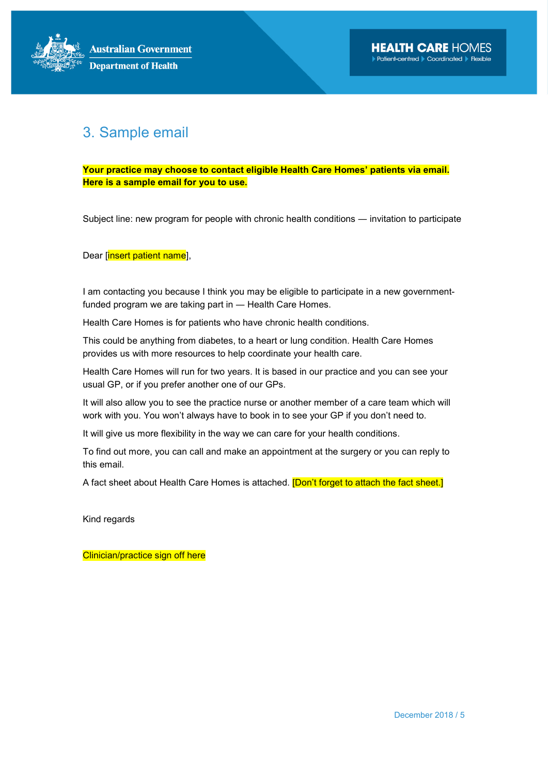## 3. Sample email

Your practice may choose to contact eligible Health Care Homes' patients via email. Here is a sample email for you to use.

Subject line: new program for people with chronic health conditions ― invitation to participate

Dear [insert patient name],

I am contacting you because I think you may be eligible to participate in a new governmentfunded program we are taking part in ― Health Care Homes.

Health Care Homes is for patients who have chronic health conditions.

This could be anything from diabetes, to a heart or lung condition. Health Care Homes provides us with more resources to help coordinate your health care.

Health Care Homes will run for two years. It is based in our practice and you can see your usual GP, or if you prefer another one of our GPs.

It will also allow you to see the practice nurse or another member of a care team which will work with you. You won't always have to book in to see your GP if you don't need to.

It will give us more flexibility in the way we can care for your health conditions.

To find out more, you can call and make an appointment at the surgery or you can reply to this email.

A fact sheet about Health Care Homes is attached. **[Don't forget to attach the fact sheet.**]

Kind regards

Clinician/practice sign off here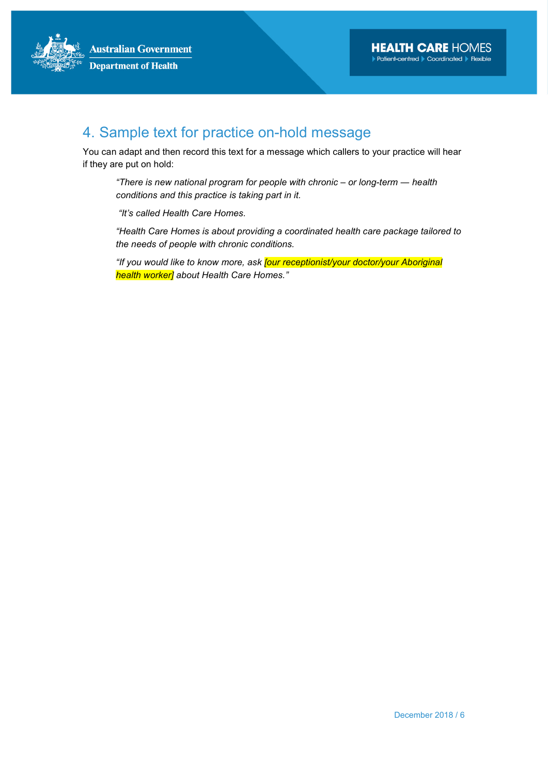# 4. Sample text for practice on-hold message

You can adapt and then record this text for a message which callers to your practice will hear if they are put on hold:

"There is new national program for people with chronic – or long-term ― health conditions and this practice is taking part in it.

"It's called Health Care Homes.

"Health Care Homes is about providing a coordinated health care package tailored to the needs of people with chronic conditions.

"If you would like to know more, ask **[our receptionist/your doctor/your Aboriginal** health worker] about Health Care Homes."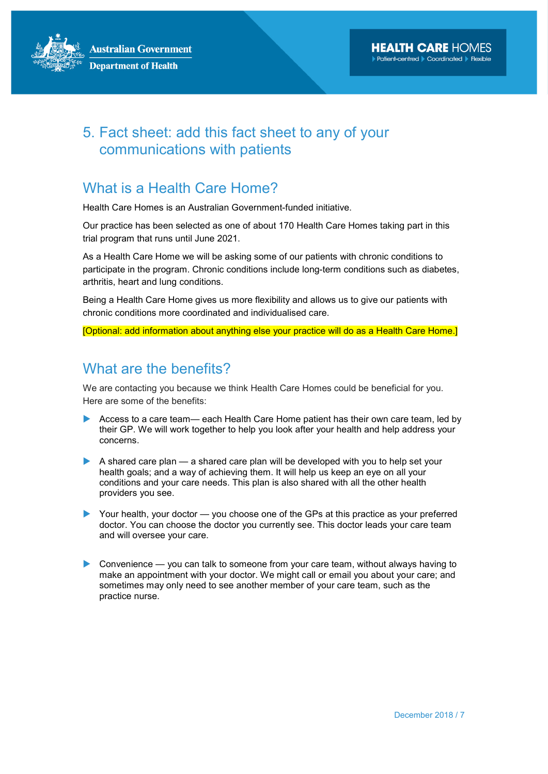# 5. Fact sheet: add this fact sheet to any of your communications with patients

### What is a Health Care Home?

Health Care Homes is an Australian Government-funded initiative.

Our practice has been selected as one of about 170 Health Care Homes taking part in this trial program that runs until June 2021.

As a Health Care Home we will be asking some of our patients with chronic conditions to participate in the program. Chronic conditions include long-term conditions such as diabetes, arthritis, heart and lung conditions.

Being a Health Care Home gives us more flexibility and allows us to give our patients with chronic conditions more coordinated and individualised care.

[Optional: add information about anything else your practice will do as a Health Care Home.]

### What are the benefits?

We are contacting you because we think Health Care Homes could be beneficial for you. Here are some of the benefits:

- Access to a care team— each Health Care Home patient has their own care team, led by their GP. We will work together to help you look after your health and help address your concerns.
- A shared care plan a shared care plan will be developed with you to help set your health goals; and a way of achieving them. It will help us keep an eye on all your conditions and your care needs. This plan is also shared with all the other health providers you see.
- Your health, your doctor you choose one of the GPs at this practice as your preferred doctor. You can choose the doctor you currently see. This doctor leads your care team and will oversee your care.
- Convenience you can talk to someone from your care team, without always having to make an appointment with your doctor. We might call or email you about your care; and sometimes may only need to see another member of your care team, such as the practice nurse.